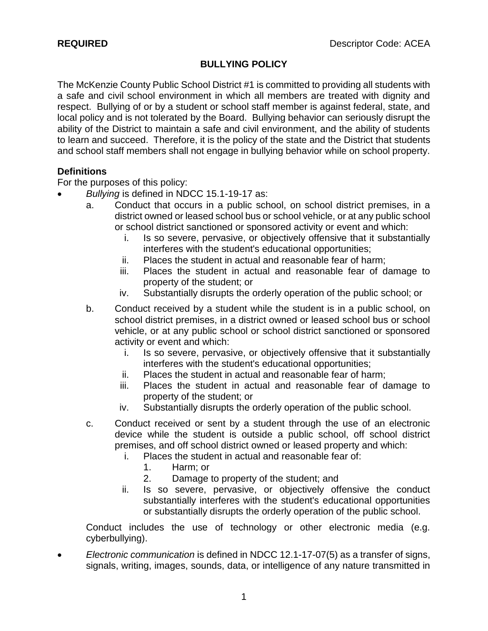### **BULLYING POLICY**

The McKenzie County Public School District #1 is committed to providing all students with a safe and civil school environment in which all members are treated with dignity and respect. Bullying of or by a student or school staff member is against federal, state, and local policy and is not tolerated by the Board. Bullying behavior can seriously disrupt the ability of the District to maintain a safe and civil environment, and the ability of students to learn and succeed. Therefore, it is the policy of the state and the District that students and school staff members shall not engage in bullying behavior while on school property.

### **Definitions**

For the purposes of this policy:

- *Bullying* is defined in NDCC 15.1-19-17 as:
	- a. Conduct that occurs in a public school, on school district premises, in a district owned or leased school bus or school vehicle, or at any public school or school district sanctioned or sponsored activity or event and which:
		- i. Is so severe, pervasive, or objectively offensive that it substantially interferes with the student's educational opportunities;
		- ii. Places the student in actual and reasonable fear of harm;
		- iii. Places the student in actual and reasonable fear of damage to property of the student; or
		- iv. Substantially disrupts the orderly operation of the public school; or
	- b. Conduct received by a student while the student is in a public school, on school district premises, in a district owned or leased school bus or school vehicle, or at any public school or school district sanctioned or sponsored activity or event and which:
		- i. Is so severe, pervasive, or objectively offensive that it substantially interferes with the student's educational opportunities;
		- ii. Places the student in actual and reasonable fear of harm;
		- iii. Places the student in actual and reasonable fear of damage to property of the student; or
		- iv. Substantially disrupts the orderly operation of the public school.
	- c. Conduct received or sent by a student through the use of an electronic device while the student is outside a public school, off school district premises, and off school district owned or leased property and which:
		- i. Places the student in actual and reasonable fear of:
			- 1. Harm; or
			- 2. Damage to property of the student; and
		- ii. Is so severe, pervasive, or objectively offensive the conduct substantially interferes with the student's educational opportunities or substantially disrupts the orderly operation of the public school.

Conduct includes the use of technology or other electronic media (e.g. cyberbullying).

 *Electronic communication* is defined in NDCC 12.1-17-07(5) as a transfer of signs, signals, writing, images, sounds, data, or intelligence of any nature transmitted in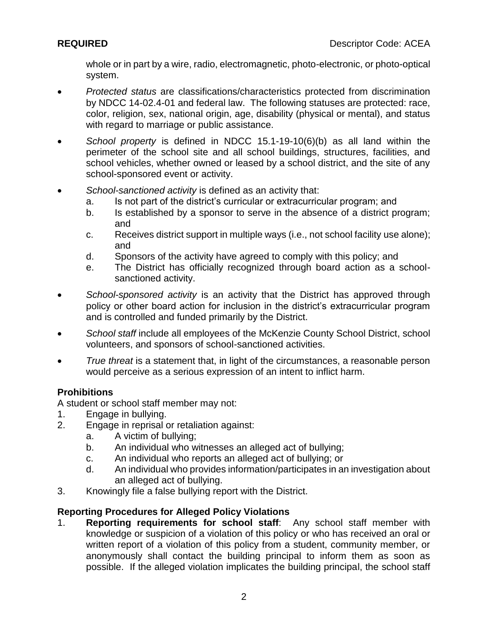whole or in part by a wire, radio, electromagnetic, photo-electronic, or photo-optical system.

- *Protected status* are classifications/characteristics protected from discrimination by NDCC 14-02.4-01 and federal law. The following statuses are protected: race, color, religion, sex, national origin, age, disability (physical or mental), and status with regard to marriage or public assistance.
- *School property* is defined in NDCC 15.1-19-10(6)(b) as all land within the perimeter of the school site and all school buildings, structures, facilities, and school vehicles, whether owned or leased by a school district, and the site of any school-sponsored event or activity.
- *School-sanctioned activity* is defined as an activity that:
	- a. Is not part of the district's curricular or extracurricular program; and
	- b. Is established by a sponsor to serve in the absence of a district program; and
	- c. Receives district support in multiple ways (i.e., not school facility use alone); and
	- d. Sponsors of the activity have agreed to comply with this policy; and
	- e. The District has officially recognized through board action as a schoolsanctioned activity.
- *School-sponsored activity* is an activity that the District has approved through policy or other board action for inclusion in the district's extracurricular program and is controlled and funded primarily by the District.
- *School staff* include all employees of the McKenzie County School District, school volunteers, and sponsors of school-sanctioned activities.
- *True threat* is a statement that, in light of the circumstances, a reasonable person would perceive as a serious expression of an intent to inflict harm.

# **Prohibitions**

A student or school staff member may not:

- 1. Engage in bullying.
- 2. Engage in reprisal or retaliation against:
	- a. A victim of bullying;
	- b. An individual who witnesses an alleged act of bullying;
	- c. An individual who reports an alleged act of bullying; or
	- d. An individual who provides information/participates in an investigation about an alleged act of bullying.
- 3. Knowingly file a false bullying report with the District.

# **Reporting Procedures for Alleged Policy Violations**

1. **Reporting requirements for school staff**: Any school staff member with knowledge or suspicion of a violation of this policy or who has received an oral or written report of a violation of this policy from a student, community member, or anonymously shall contact the building principal to inform them as soon as possible. If the alleged violation implicates the building principal, the school staff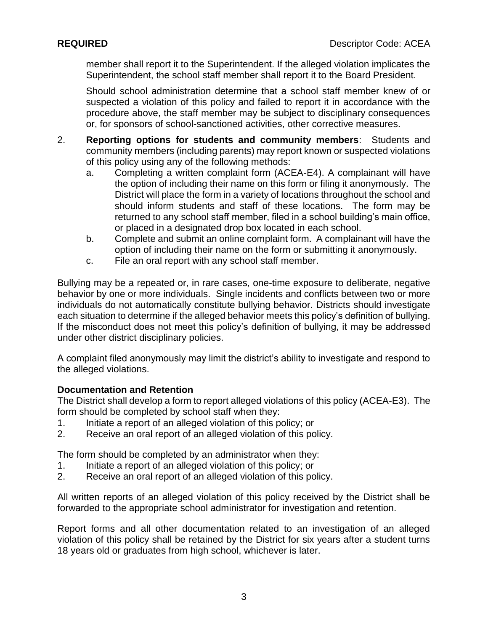member shall report it to the Superintendent. If the alleged violation implicates the Superintendent, the school staff member shall report it to the Board President.

Should school administration determine that a school staff member knew of or suspected a violation of this policy and failed to report it in accordance with the procedure above, the staff member may be subject to disciplinary consequences or, for sponsors of school-sanctioned activities, other corrective measures.

- 2. **Reporting options for students and community members**: Students and community members (including parents) may report known or suspected violations of this policy using any of the following methods:
	- a. Completing a written complaint form (ACEA-E4). A complainant will have the option of including their name on this form or filing it anonymously. The District will place the form in a variety of locations throughout the school and should inform students and staff of these locations. The form may be returned to any school staff member, filed in a school building's main office, or placed in a designated drop box located in each school.
	- b. Complete and submit an online complaint form. A complainant will have the option of including their name on the form or submitting it anonymously.
	- c. File an oral report with any school staff member.

Bullying may be a repeated or, in rare cases, one-time exposure to deliberate, negative behavior by one or more individuals. Single incidents and conflicts between two or more individuals do not automatically constitute bullying behavior. Districts should investigate each situation to determine if the alleged behavior meets this policy's definition of bullying. If the misconduct does not meet this policy's definition of bullying, it may be addressed under other district disciplinary policies.

A complaint filed anonymously may limit the district's ability to investigate and respond to the alleged violations.

# **Documentation and Retention**

The District shall develop a form to report alleged violations of this policy (ACEA-E3). The form should be completed by school staff when they:

- 1. Initiate a report of an alleged violation of this policy; or
- 2. Receive an oral report of an alleged violation of this policy.

The form should be completed by an administrator when they:

- 1. Initiate a report of an alleged violation of this policy; or
- 2. Receive an oral report of an alleged violation of this policy.

All written reports of an alleged violation of this policy received by the District shall be forwarded to the appropriate school administrator for investigation and retention.

Report forms and all other documentation related to an investigation of an alleged violation of this policy shall be retained by the District for six years after a student turns 18 years old or graduates from high school, whichever is later.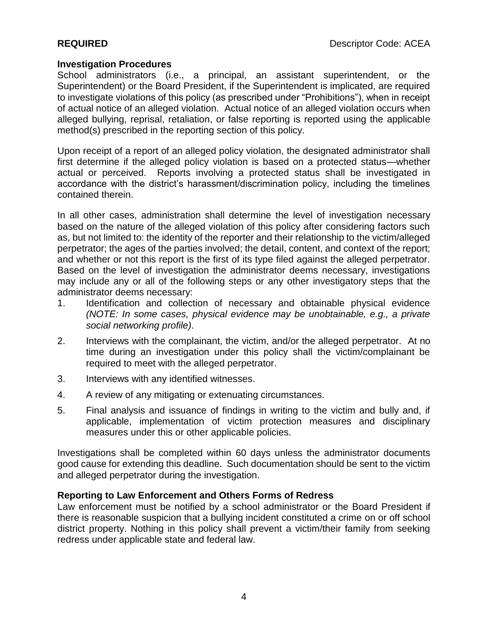### **Investigation Procedures**

School administrators (i.e., a principal, an assistant superintendent, or the Superintendent) or the Board President, if the Superintendent is implicated, are required to investigate violations of this policy (as prescribed under "Prohibitions"), when in receipt of actual notice of an alleged violation. Actual notice of an alleged violation occurs when alleged bullying, reprisal, retaliation, or false reporting is reported using the applicable method(s) prescribed in the reporting section of this policy.

Upon receipt of a report of an alleged policy violation, the designated administrator shall first determine if the alleged policy violation is based on a protected status—whether actual or perceived. Reports involving a protected status shall be investigated in accordance with the district's harassment/discrimination policy, including the timelines contained therein.

In all other cases, administration shall determine the level of investigation necessary based on the nature of the alleged violation of this policy after considering factors such as, but not limited to: the identity of the reporter and their relationship to the victim/alleged perpetrator; the ages of the parties involved; the detail, content, and context of the report; and whether or not this report is the first of its type filed against the alleged perpetrator. Based on the level of investigation the administrator deems necessary, investigations may include any or all of the following steps or any other investigatory steps that the administrator deems necessary:

- 1. Identification and collection of necessary and obtainable physical evidence *(NOTE: In some cases, physical evidence may be unobtainable, e.g., a private social networking profile)*.
- 2. Interviews with the complainant, the victim, and/or the alleged perpetrator. At no time during an investigation under this policy shall the victim/complainant be required to meet with the alleged perpetrator.
- 3. Interviews with any identified witnesses.
- 4. A review of any mitigating or extenuating circumstances.
- 5. Final analysis and issuance of findings in writing to the victim and bully and, if applicable, implementation of victim protection measures and disciplinary measures under this or other applicable policies.

Investigations shall be completed within 60 days unless the administrator documents good cause for extending this deadline. Such documentation should be sent to the victim and alleged perpetrator during the investigation.

# **Reporting to Law Enforcement and Others Forms of Redress**

Law enforcement must be notified by a school administrator or the Board President if there is reasonable suspicion that a bullying incident constituted a crime on or off school district property. Nothing in this policy shall prevent a victim/their family from seeking redress under applicable state and federal law.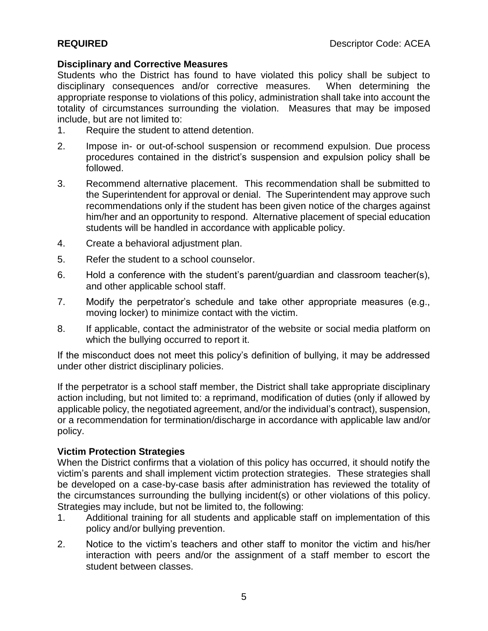# **Disciplinary and Corrective Measures**

Students who the District has found to have violated this policy shall be subject to disciplinary consequences and/or corrective measures. When determining the appropriate response to violations of this policy, administration shall take into account the totality of circumstances surrounding the violation. Measures that may be imposed include, but are not limited to:

- 1. Require the student to attend detention.
- 2. Impose in- or out-of-school suspension or recommend expulsion. Due process procedures contained in the district's suspension and expulsion policy shall be followed.
- 3. Recommend alternative placement. This recommendation shall be submitted to the Superintendent for approval or denial. The Superintendent may approve such recommendations only if the student has been given notice of the charges against him/her and an opportunity to respond. Alternative placement of special education students will be handled in accordance with applicable policy.
- 4. Create a behavioral adjustment plan.
- 5. Refer the student to a school counselor.
- 6. Hold a conference with the student's parent/guardian and classroom teacher(s), and other applicable school staff.
- 7. Modify the perpetrator's schedule and take other appropriate measures (e.g., moving locker) to minimize contact with the victim.
- 8. If applicable, contact the administrator of the website or social media platform on which the bullying occurred to report it.

If the misconduct does not meet this policy's definition of bullying, it may be addressed under other district disciplinary policies.

If the perpetrator is a school staff member, the District shall take appropriate disciplinary action including, but not limited to: a reprimand, modification of duties (only if allowed by applicable policy, the negotiated agreement, and/or the individual's contract), suspension, or a recommendation for termination/discharge in accordance with applicable law and/or policy.

# **Victim Protection Strategies**

When the District confirms that a violation of this policy has occurred, it should notify the victim's parents and shall implement victim protection strategies. These strategies shall be developed on a case-by-case basis after administration has reviewed the totality of the circumstances surrounding the bullying incident(s) or other violations of this policy. Strategies may include, but not be limited to, the following:

- 1. Additional training for all students and applicable staff on implementation of this policy and/or bullying prevention.
- 2. Notice to the victim's teachers and other staff to monitor the victim and his/her interaction with peers and/or the assignment of a staff member to escort the student between classes.